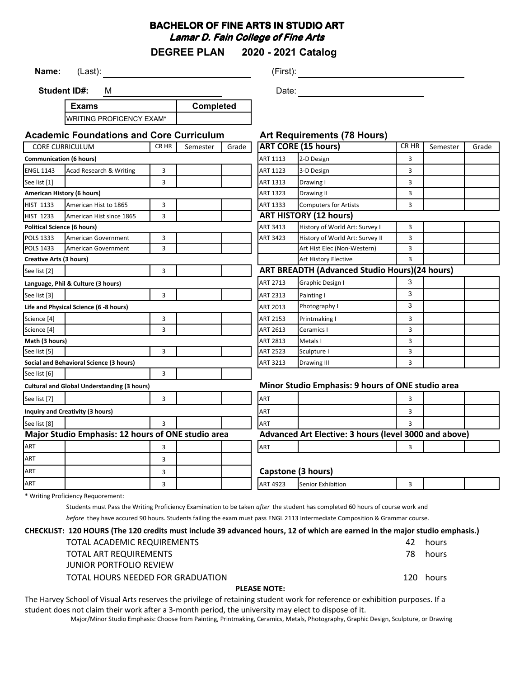## **BACHELOR OF FINE ARTS IN STUDIO ART Lamar D. Fain College of Fine Arts**

**DEGREE PLAN 2020 - 2021 Catalog**

**Name:** (Last): (First):

**Student ID#:** M

**Exams** WRITING PROFICENCY EXAM\* **Completed**

**Academic Foundations and Core Curriculum Art Requirements (78 Hours)**

Date:

|                                         | Academic Foundations and Core Curriculum           |       |                                                      |                    |                               | Art Requirements (78 Hours)                           |       |          |       |
|-----------------------------------------|----------------------------------------------------|-------|------------------------------------------------------|--------------------|-------------------------------|-------------------------------------------------------|-------|----------|-------|
|                                         | <b>CORE CURRICULUM</b>                             | CR HR | Semester                                             | Grade              |                               | <b>ART CORE (15 hours)</b>                            | CR HR | Semester | Grade |
| <b>Communication (6 hours)</b>          |                                                    |       |                                                      | ART 1113           | 2-D Design                    | 3                                                     |       |          |       |
| <b>ENGL 1143</b>                        | Acad Research & Writing                            | 3     |                                                      |                    | ART 1123                      | 3-D Design                                            | 3     |          |       |
| See list [1]                            |                                                    | 3     |                                                      |                    | ART 1313                      | Drawing I                                             | 3     |          |       |
|                                         | American History (6 hours)                         |       |                                                      |                    | ART 1323                      | Drawing II                                            | 3     |          |       |
| <b>HIST 1133</b>                        | American Hist to 1865                              | 3     |                                                      |                    | ART 1333                      | <b>Computers for Artists</b>                          |       |          |       |
| <b>HIST 1233</b>                        | American Hist since 1865                           | 3     |                                                      |                    | <b>ART HISTORY (12 hours)</b> |                                                       |       |          |       |
|                                         | <b>Political Science (6 hours)</b>                 |       |                                                      |                    | <b>ART 3413</b>               | History of World Art: Survey I                        | 3     |          |       |
| <b>POLS 1333</b>                        | American Government                                | 3     |                                                      |                    | <b>ART 3423</b>               | History of World Art: Survey II                       | 3     |          |       |
| <b>POLS 1433</b>                        | American Government                                | 3     |                                                      |                    |                               | Art Hist Elec (Non-Western)                           | 3     |          |       |
| Creative Arts (3 hours)                 |                                                    |       |                                                      |                    |                               | Art History Elective                                  | 3     |          |       |
| See list [2]<br>3                       |                                                    |       | <b>ART BREADTH (Advanced Studio Hours)(24 hours)</b> |                    |                               |                                                       |       |          |       |
|                                         | Language, Phil & Culture (3 hours)                 |       |                                                      |                    | <b>ART 2713</b>               | Graphic Design I                                      | 3     |          |       |
| See list [3]                            |                                                    | 3     |                                                      |                    | ART 2313                      | Painting I                                            | 3     |          |       |
|                                         | Life and Physical Science (6 -8 hours)             |       |                                                      |                    | ART 2013                      | 3<br>Photography I                                    |       |          |       |
| Science [4]                             |                                                    | 3     |                                                      |                    | <b>ART 2153</b>               | Printmaking I                                         | 3     |          |       |
| Science [4]                             |                                                    | 3     |                                                      |                    | ART 2613                      | Ceramics I                                            | 3     |          |       |
| Math (3 hours)                          |                                                    |       |                                                      | ART 2813           | 3<br>Metals I                 |                                                       |       |          |       |
| See list [5]                            |                                                    | 3     |                                                      |                    | <b>ART 2523</b>               | Sculpture I                                           | 3     |          |       |
| Social and Behavioral Science (3 hours) |                                                    |       | ART 3213                                             | <b>Drawing III</b> | 3                             |                                                       |       |          |       |
| See list [6]                            |                                                    | 3     |                                                      |                    |                               |                                                       |       |          |       |
|                                         | <b>Cultural and Global Understanding (3 hours)</b> |       |                                                      |                    |                               | Minor Studio Emphasis: 9 hours of ONE studio area     |       |          |       |
| See list [7]                            |                                                    | 3     |                                                      |                    | <b>ART</b>                    |                                                       | 3     |          |       |
| <b>Inquiry and Creativity (3 hours)</b> |                                                    |       |                                                      | <b>ART</b>         | 3                             |                                                       |       |          |       |
| See list [8]                            |                                                    | 3     |                                                      |                    | <b>ART</b>                    |                                                       | 3     |          |       |
|                                         | Major Studio Emphasis: 12 hours of ONE studio area |       |                                                      |                    |                               | Advanced Art Elective: 3 hours (level 3000 and above) |       |          |       |
| ART                                     |                                                    | 3     |                                                      |                    | ART                           |                                                       | 3     |          |       |
| ART                                     |                                                    | 3     |                                                      |                    |                               |                                                       |       |          |       |
| ART                                     |                                                    | 3     |                                                      |                    |                               | Capstone (3 hours)                                    |       |          |       |
| ART                                     |                                                    | 3     |                                                      |                    | <b>ART 4923</b>               | Senior Exhibition                                     | 3     |          |       |
|                                         |                                                    |       |                                                      |                    |                               |                                                       |       |          |       |

\* Writing Proficiency Requorement:

Students must Pass the Writing Proficiency Examination to be taken *after* the student has completed 60 hours of course work and

*before* they have accured 90 hours. Students failing the exam must pass ENGL 2113 Intermediate Composition & Grammar course.

## **CHECKLIST: 120 HOURS (The 120 credits must include 39 advanced hours, 12 of which are earned in the major studio emphasis.)**

| <b>PLEASE NOTE:</b> |                                   |     |           |  |  |  |
|---------------------|-----------------------------------|-----|-----------|--|--|--|
|                     | TOTAL HOURS NEEDED FOR GRADUATION |     | 120 hours |  |  |  |
|                     | JUNIOR PORTFOLIO REVIEW           |     |           |  |  |  |
|                     | TOTAL ART REQUIREMENTS            | 78. | hours     |  |  |  |
|                     | TOTAL ACADEMIC REQUIREMENTS       | 42  | hours     |  |  |  |

The Harvey School of Visual Arts reserves the privilege of retaining student work for reference or exhibition purposes. If a student does not claim their work after a 3-month period, the university may elect to dispose of it.

Major/Minor Studio Emphasis: Choose from Painting, Printmaking, Ceramics, Metals, Photography, Graphic Design, Sculpture, or Drawing